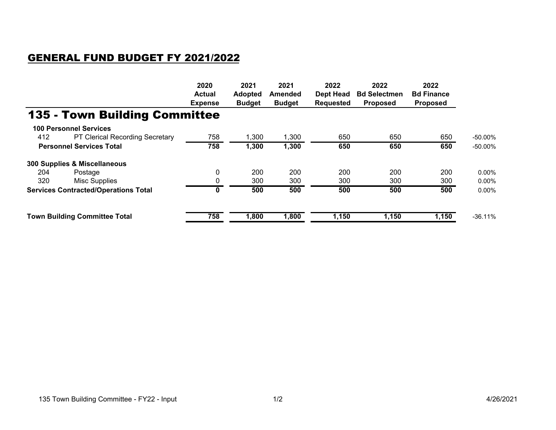## GENERAL FUND BUDGET FY 2021/2022

|                                             |                                        | 2020           | 2021           | 2021           | 2022             | 2022                | 2022              |            |
|---------------------------------------------|----------------------------------------|----------------|----------------|----------------|------------------|---------------------|-------------------|------------|
|                                             |                                        | <b>Actual</b>  | <b>Adopted</b> | <b>Amended</b> | Dept Head        | <b>Bd Selectmen</b> | <b>Bd Finance</b> |            |
|                                             |                                        | <b>Expense</b> | <b>Budget</b>  | <b>Budget</b>  | <b>Requested</b> | <b>Proposed</b>     | <b>Proposed</b>   |            |
|                                             | <b>135 - Town Building Committee</b>   |                |                |                |                  |                     |                   |            |
|                                             | <b>100 Personnel Services</b>          |                |                |                |                  |                     |                   |            |
| 412                                         | <b>PT Clerical Recording Secretary</b> | 758            | 1,300          | 1,300          | 650              | 650                 | 650               | $-50.00\%$ |
| <b>Personnel Services Total</b>             |                                        | 758            | 1,300          | 1,300          | 650              | 650                 | 650               | $-50.00\%$ |
|                                             | 300 Supplies & Miscellaneous           |                |                |                |                  |                     |                   |            |
| 204                                         | Postage                                | 0              | 200            | 200            | 200              | 200                 | 200               | $0.00\%$   |
| 320                                         | Misc Supplies                          | 0              | 300            | 300            | 300              | 300                 | 300               | $0.00\%$   |
| <b>Services Contracted/Operations Total</b> |                                        | 0              | 500            | 500            | 500              | 500                 | 500               | $0.00\%$   |
| <b>Town Building Committee Total</b>        |                                        | 758            | 1,800          | 1,800          | 1,150            | 1,150               | 1,150             | $-36.11%$  |